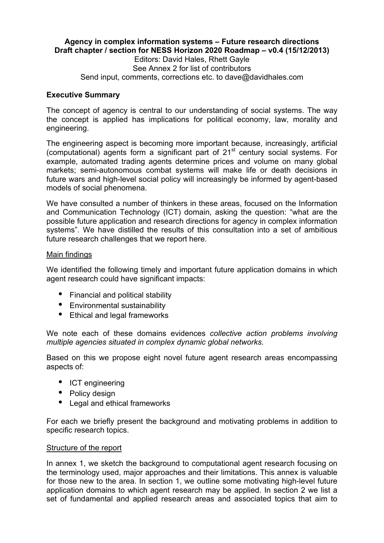### **Agency in complex information systems – Future research directions Draft chapter / section for NESS Horizon 2020 Roadmap – v0.4 (15/12/2013)**

Editors: David Hales, Rhett Gayle See Annex 2 for list of contributors Send input, comments, corrections etc. to dave@davidhales.com

#### **Executive Summary**

The concept of agency is central to our understanding of social systems. The way the concept is applied has implications for political economy, law, morality and engineering.

The engineering aspect is becoming more important because, increasingly, artificial  $(computational)$  agents form a significant part of  $21<sup>st</sup>$  century social systems. For example, automated trading agents determine prices and volume on many global markets; semi-autonomous combat systems will make life or death decisions in future wars and high-level social policy will increasingly be informed by agent-based models of social phenomena.

We have consulted a number of thinkers in these areas, focused on the Information and Communication Technology (ICT) domain, asking the question: "what are the possible future application and research directions for agency in complex information systems". We have distilled the results of this consultation into a set of ambitious future research challenges that we report here.

#### Main findings

We identified the following timely and important future application domains in which agent research could have significant impacts:

- Financial and political stability
- Environmental sustainability
- Ethical and legal frameworks

We note each of these domains evidences *collective action problems involving multiple agencies situated in complex dynamic global networks*.

Based on this we propose eight novel future agent research areas encompassing aspects of:

- ICT engineering
- Policy design
- Legal and ethical frameworks

For each we briefly present the background and motivating problems in addition to specific research topics.

#### Structure of the report

In annex 1, we sketch the background to computational agent research focusing on the terminology used, major approaches and their limitations. This annex is valuable for those new to the area. In section 1, we outline some motivating high-level future application domains to which agent research may be applied. In section 2 we list a set of fundamental and applied research areas and associated topics that aim to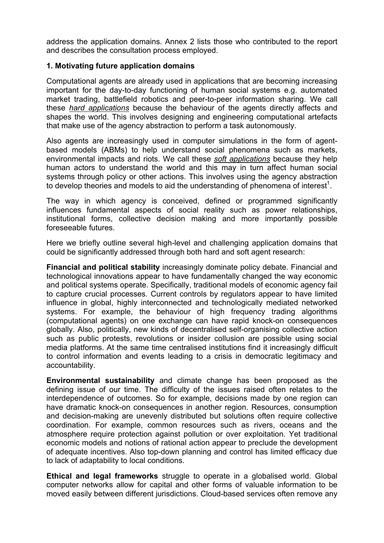address the application domains. Annex 2 lists those who contributed to the report and describes the consultation process employed.

### **1. Motivating future application domains**

Computational agents are already used in applications that are becoming increasing important for the day-to-day functioning of human social systems e.g. automated market trading, battlefield robotics and peer-to-peer information sharing. We call these *hard applications* because the behaviour of the agents directly affects and shapes the world. This involves designing and engineering computational artefacts that make use of the agency abstraction to perform a task autonomously.

Also agents are increasingly used in computer simulations in the form of agentbased models (ABMs) to help understand social phenomena such as markets, environmental impacts and riots. We call these *soft applications* because they help human actors to understand the world and this may in turn affect human social systems through policy or other actions. This involves using the agency abstraction to develop theories and models to aid the understanding of phenomena of interest<sup>1</sup>.

The way in which agency is conceived, defined or programmed significantly influences fundamental aspects of social reality such as power relationships, institutional forms, collective decision making and more importantly possible foreseeable futures.

Here we briefly outline several high-level and challenging application domains that could be significantly addressed through both hard and soft agent research:

**Financial and political stability** increasingly dominate policy debate. Financial and technological innovations appear to have fundamentally changed the way economic and political systems operate. Specifically, traditional models of economic agency fail to capture crucial processes. Current controls by regulators appear to have limited influence in global, highly interconnected and technologically mediated networked systems. For example, the behaviour of high frequency trading algorithms (computational agents) on one exchange can have rapid knock-on consequences globally. Also, politically, new kinds of decentralised self-organising collective action such as public protests, revolutions or insider collusion are possible using social media platforms. At the same time centralised institutions find it increasingly difficult to control information and events leading to a crisis in democratic legitimacy and accountability.

**Environmental sustainability** and climate change has been proposed as the defining issue of our time. The difficulty of the issues raised often relates to the interdependence of outcomes. So for example, decisions made by one region can have dramatic knock-on consequences in another region. Resources, consumption and decision-making are unevenly distributed but solutions often require collective coordination. For example, common resources such as rivers, oceans and the atmosphere require protection against pollution or over exploitation. Yet traditional economic models and notions of rational action appear to preclude the development of adequate incentives. Also top-down planning and control has limited efficacy due to lack of adaptability to local conditions.

**Ethical and legal frameworks** struggle to operate in a globalised world. Global computer networks allow for capital and other forms of valuable information to be moved easily between different jurisdictions. Cloud-based services often remove any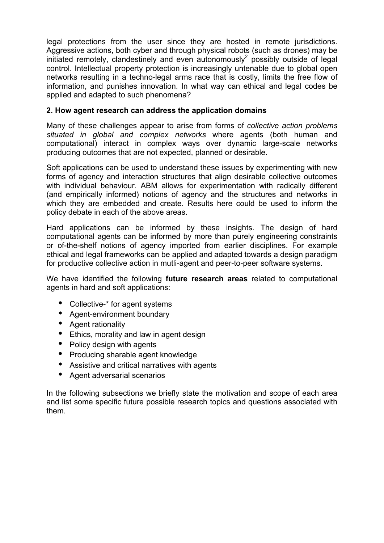legal protections from the user since they are hosted in remote jurisdictions. Aggressive actions, both cyber and through physical robots (such as drones) may be initiated remotely, clandestinely and even autonomously<sup>2</sup> possibly outside of legal control. Intellectual property protection is increasingly untenable due to global open networks resulting in a techno-legal arms race that is costly, limits the free flow of information, and punishes innovation. In what way can ethical and legal codes be applied and adapted to such phenomena?

# **2. How agent research can address the application domains**

Many of these challenges appear to arise from forms of *collective action problems situated in global and complex networks* where agents (both human and computational) interact in complex ways over dynamic large-scale networks producing outcomes that are not expected, planned or desirable.

Soft applications can be used to understand these issues by experimenting with new forms of agency and interaction structures that align desirable collective outcomes with individual behaviour. ABM allows for experimentation with radically different (and empirically informed) notions of agency and the structures and networks in which they are embedded and create. Results here could be used to inform the policy debate in each of the above areas.

Hard applications can be informed by these insights. The design of hard computational agents can be informed by more than purely engineering constraints or of-the-shelf notions of agency imported from earlier disciplines. For example ethical and legal frameworks can be applied and adapted towards a design paradigm for productive collective action in mutli-agent and peer-to-peer software systems.

We have identified the following **future research areas** related to computational agents in hard and soft applications:

- Collective-\* for agent systems
- Agent-environment boundary
- Agent rationality
- Ethics, morality and law in agent design
- Policy design with agents
- Producing sharable agent knowledge
- Assistive and critical narratives with agents
- Agent adversarial scenarios

In the following subsections we briefly state the motivation and scope of each area and list some specific future possible research topics and questions associated with them.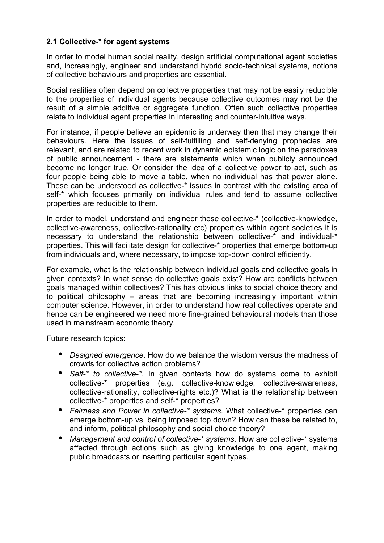## **2.1 Collective-\* for agent systems**

In order to model human social reality, design artificial computational agent societies and, increasingly, engineer and understand hybrid socio-technical systems, notions of collective behaviours and properties are essential.

Social realities often depend on collective properties that may not be easily reducible to the properties of individual agents because collective outcomes may not be the result of a simple additive or aggregate function. Often such collective properties relate to individual agent properties in interesting and counter-intuitive ways.

For instance, if people believe an epidemic is underway then that may change their behaviours. Here the issues of self-fulfilling and self-denying prophecies are relevant, and are related to recent work in dynamic epistemic logic on the paradoxes of public announcement - there are statements which when publicly announced become no longer true. Or consider the idea of a collective power to act, such as four people being able to move a table, when no individual has that power alone. These can be understood as collective-\* issues in contrast with the existing area of self-\* which focuses primarily on individual rules and tend to assume collective properties are reducible to them.

In order to model, understand and engineer these collective-\* (collective-knowledge, collective-awareness, collective-rationality etc) properties within agent societies it is necessary to understand the relationship between collective-\* and individual-\* properties. This will facilitate design for collective-\* properties that emerge bottom-up from individuals and, where necessary, to impose top-down control efficiently.

For example, what is the relationship between individual goals and collective goals in given contexts? In what sense do collective goals exist? How are conflicts between goals managed within collectives? This has obvious links to social choice theory and to political philosophy – areas that are becoming increasingly important within computer science. However, in order to understand how real collectives operate and hence can be engineered we need more fine-grained behavioural models than those used in mainstream economic theory.

- *Designed emergence*. How do we balance the wisdom versus the madness of crowds for collective action problems?
- *Self-\* to collective-\**. In given contexts how do systems come to exhibit collective-\* properties (e.g. collective-knowledge, collective-awareness, collective-rationality, collective-rights etc.)? What is the relationship between collective-\* properties and self-\* properties?
- *Fairness and Power in collective-\* systems*. What collective-\* properties can emerge bottom-up vs. being imposed top down? How can these be related to, and inform, political philosophy and social choice theory?
- *Management and control of collective-\* systems*. How are collective-\* systems affected through actions such as giving knowledge to one agent, making public broadcasts or inserting particular agent types.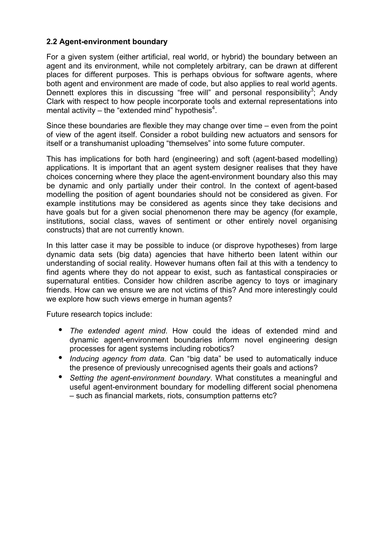## **2.2 Agent-environment boundary**

For a given system (either artificial, real world, or hybrid) the boundary between an agent and its environment, while not completely arbitrary, can be drawn at different places for different purposes. This is perhaps obvious for software agents, where both agent and environment are made of code, but also applies to real world agents. Dennett explores this in discussing "free will" and personal responsibility<sup>3</sup>; Andy Clark with respect to how people incorporate tools and external representations into mental activity – the "extended mind" hypothesis $4$ .

Since these boundaries are flexible they may change over time – even from the point of view of the agent itself. Consider a robot building new actuators and sensors for itself or a transhumanist uploading "themselves" into some future computer.

This has implications for both hard (engineering) and soft (agent-based modelling) applications. It is important that an agent system designer realises that they have choices concerning where they place the agent-environment boundary also this may be dynamic and only partially under their control. In the context of agent-based modelling the position of agent boundaries should not be considered as given. For example institutions may be considered as agents since they take decisions and have goals but for a given social phenomenon there may be agency (for example, institutions, social class, waves of sentiment or other entirely novel organising constructs) that are not currently known.

In this latter case it may be possible to induce (or disprove hypotheses) from large dynamic data sets (big data) agencies that have hitherto been latent within our understanding of social reality. However humans often fail at this with a tendency to find agents where they do not appear to exist, such as fantastical conspiracies or supernatural entities. Consider how children ascribe agency to toys or imaginary friends. How can we ensure we are not victims of this? And more interestingly could we explore how such views emerge in human agents?

Future research topics include:

- *The extended agent mind*. How could the ideas of extended mind and dynamic agent-environment boundaries inform novel engineering design processes for agent systems including robotics?
- *Inducing agency from data.* Can "big data" be used to automatically induce the presence of previously unrecognised agents their goals and actions?
- *Setting the agent-environment boundary*. What constitutes a meaningful and useful agent-environment boundary for modelling different social phenomena – such as financial markets, riots, consumption patterns etc?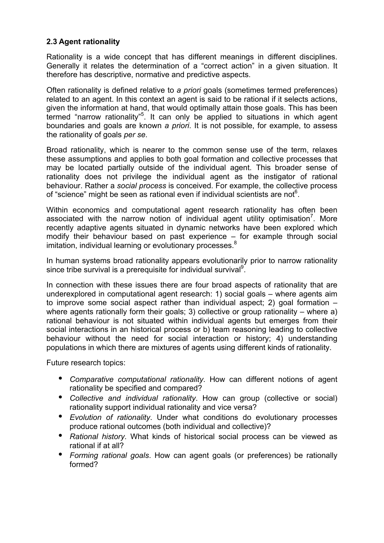# **2.3 Agent rationality**

Rationality is a wide concept that has different meanings in different disciplines. Generally it relates the determination of a "correct action" in a given situation. It therefore has descriptive, normative and predictive aspects.

Often rationality is defined relative to *a priori* goals (sometimes termed preferences) related to an agent. In this context an agent is said to be rational if it selects actions, given the information at hand, that would optimally attain those goals. This has been termed "narrow rationality"<sup>5</sup>. It can only be applied to situations in which agent boundaries and goals are known *a priori*. It is not possible, for example, to assess the rationality of goals *per se*.

Broad rationality, which is nearer to the common sense use of the term, relaxes these assumptions and applies to both goal formation and collective processes that may be located partially outside of the individual agent. This broader sense of rationality does not privilege the individual agent as the instigator of rational behaviour. Rather a *social process* is conceived. For example, the collective process of "science" might be seen as rational even if individual scientists are not $6$ .

Within economics and computational agent research rationality has often been associated with the narrow notion of individual agent utility optimisation<sup>7</sup>. More recently adaptive agents situated in dynamic networks have been explored which modify their behaviour based on past experience – for example through social imitation, individual learning or evolutionary processes.<sup>8</sup>

In human systems broad rationality appears evolutionarily prior to narrow rationality since tribe survival is a prerequisite for individual survival<sup>9</sup>.

In connection with these issues there are four broad aspects of rationality that are underexplored in computational agent research: 1) social goals – where agents aim to improve some social aspect rather than individual aspect; 2) goal formation – where agents rationally form their goals; 3) collective or group rationality – where a) rational behaviour is not situated within individual agents but emerges from their social interactions in an historical process or b) team reasoning leading to collective behaviour without the need for social interaction or history; 4) understanding populations in which there are mixtures of agents using different kinds of rationality.

- *Comparative computational rationality*. How can different notions of agent rationality be specified and compared?
- *Collective and individual rationality*. How can group (collective or social) rationality support individual rationality and vice versa?
- *Evolution of rationality*. Under what conditions do evolutionary processes produce rational outcomes (both individual and collective)?
- *Rational history*. What kinds of historical social process can be viewed as rational if at all?
- *Forming rational goals*. How can agent goals (or preferences) be rationally formed?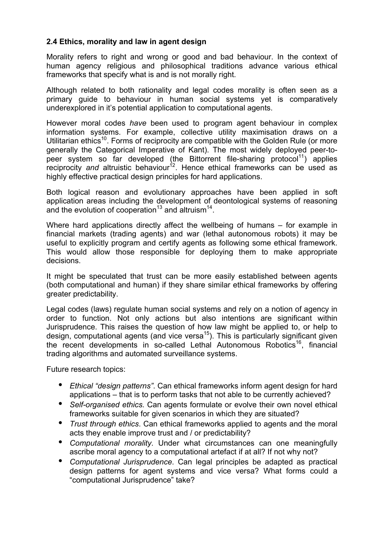## **2.4 Ethics, morality and law in agent design**

Morality refers to right and wrong or good and bad behaviour. In the context of human agency religious and philosophical traditions advance various ethical frameworks that specify what is and is not morally right.

Although related to both rationality and legal codes morality is often seen as a primary guide to behaviour in human social systems yet is comparatively underexplored in it's potential application to computational agents.

However moral codes *have* been used to program agent behaviour in complex information systems. For example, collective utility maximisation draws on a Utilitarian ethics<sup>10</sup>. Forms of reciprocity are compatible with the Golden Rule (or more generally the Categorical Imperative of Kant). The most widely deployed peer-topeer system so far developed (the Bittorrent file-sharing protocol<sup>11</sup>) applies reciprocity and altruistic behaviour<sup>12</sup>. Hence ethical frameworks can be used as highly effective practical design principles for hard applications.

Both logical reason and evolutionary approaches have been applied in soft application areas including the development of deontological systems of reasoning and the evolution of cooperation<sup>13</sup> and altruism<sup>14</sup>.

Where hard applications directly affect the wellbeing of humans – for example in financial markets (trading agents) and war (lethal autonomous robots) it may be useful to explicitly program and certify agents as following some ethical framework. This would allow those responsible for deploying them to make appropriate decisions.

It might be speculated that trust can be more easily established between agents (both computational and human) if they share similar ethical frameworks by offering greater predictability.

Legal codes (laws) regulate human social systems and rely on a notion of agency in order to function. Not only actions but also intentions are significant within Jurisprudence. This raises the question of how law might be applied to, or help to design, computational agents (and vice versa<sup>15</sup>). This is particularly significant given the recent developments in so-called Lethal Autonomous Robotics<sup>16</sup>, financial trading algorithms and automated surveillance systems.

- *Ethical "design patterns"*. Can ethical frameworks inform agent design for hard applications – that is to perform tasks that not able to be currently achieved?
- *Self-organised ethics.* Can agents formulate or evolve their own novel ethical frameworks suitable for given scenarios in which they are situated?
- *Trust through ethics*. Can ethical frameworks applied to agents and the moral acts they enable improve trust and / or predictability?
- *Computational morality*. Under what circumstances can one meaningfully ascribe moral agency to a computational artefact if at all? If not why not?
- *Computational Jurisprudence*. Can legal principles be adapted as practical design patterns for agent systems and vice versa? What forms could a "computational Jurisprudence" take?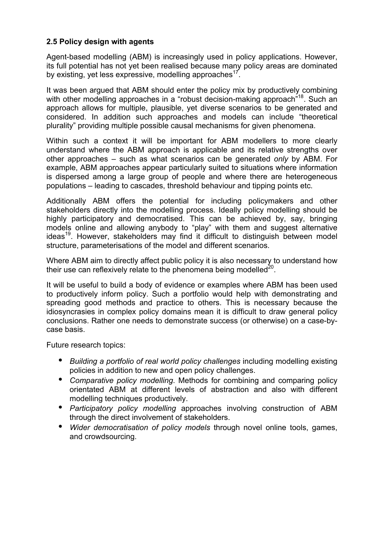## **2.5 Policy design with agents**

Agent-based modelling (ABM) is increasingly used in policy applications. However, its full potential has not yet been realised because many policy areas are dominated by existing, yet less expressive, modelling approaches<sup>17</sup>.

It was been argued that ABM should enter the policy mix by productively combining with other modelling approaches in a "robust decision-making approach"<sup>18</sup>. Such an approach allows for multiple, plausible, yet diverse scenarios to be generated and considered. In addition such approaches and models can include "theoretical plurality" providing multiple possible causal mechanisms for given phenomena.

Within such a context it will be important for ABM modellers to more clearly understand where the ABM approach is applicable and its relative strengths over other approaches – such as what scenarios can be generated *only* by ABM. For example, ABM approaches appear particularly suited to situations where information is dispersed among a large group of people and where there are heterogeneous populations – leading to cascades, threshold behaviour and tipping points etc.

Additionally ABM offers the potential for including policymakers and other stakeholders directly into the modelling process. Ideally policy modelling should be highly participatory and democratised. This can be achieved by, say, bringing models online and allowing anybody to "play" with them and suggest alternative ideas<sup>19</sup>. However, stakeholders may find it difficult to distinguish between model structure, parameterisations of the model and different scenarios.

Where ABM aim to directly affect public policy it is also necessary to understand how their use can reflexively relate to the phenomena being modelled $^{20}$ .

It will be useful to build a body of evidence or examples where ABM has been used to productively inform policy. Such a portfolio would help with demonstrating and spreading good methods and practice to others. This is necessary because the idiosyncrasies in complex policy domains mean it is difficult to draw general policy conclusions. Rather one needs to demonstrate success (or otherwise) on a case-bycase basis.

- *Building a portfolio of real world policy challenges* including modelling existing policies in addition to new and open policy challenges.
- *Comparative policy modelling*. Methods for combining and comparing policy orientated ABM at different levels of abstraction and also with different modelling techniques productively.
- *Participatory policy modelling* approaches involving construction of ABM through the direct involvement of stakeholders.
- *Wider democratisation of policy models* through novel online tools, games, and crowdsourcing.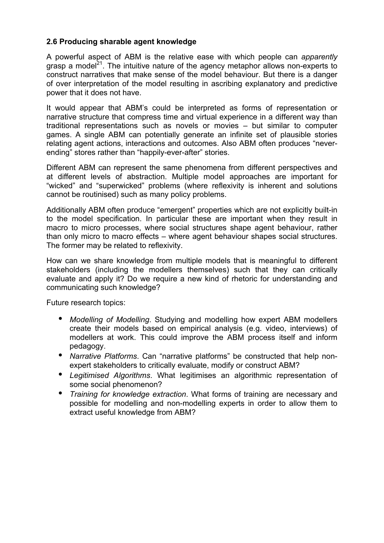## **2.6 Producing sharable agent knowledge**

A powerful aspect of ABM is the relative ease with which people can *apparently* grasp a model<sup>21</sup>. The intuitive nature of the agency metaphor allows non-experts to construct narratives that make sense of the model behaviour. But there is a danger of over interpretation of the model resulting in ascribing explanatory and predictive power that it does not have.

It would appear that ABM's could be interpreted as forms of representation or narrative structure that compress time and virtual experience in a different way than traditional representations such as novels or movies – but similar to computer games. A single ABM can potentially generate an infinite set of plausible stories relating agent actions, interactions and outcomes. Also ABM often produces "neverending" stores rather than "happily-ever-after" stories.

Different ABM can represent the same phenomena from different perspectives and at different levels of abstraction. Multiple model approaches are important for "wicked" and "superwicked" problems (where reflexivity is inherent and solutions cannot be routinised) such as many policy problems.

Additionally ABM often produce "emergent" properties which are not explicitly built-in to the model specification. In particular these are important when they result in macro to micro processes, where social structures shape agent behaviour, rather than only micro to macro effects – where agent behaviour shapes social structures. The former may be related to reflexivity.

How can we share knowledge from multiple models that is meaningful to different stakeholders (including the modellers themselves) such that they can critically evaluate and apply it? Do we require a new kind of rhetoric for understanding and communicating such knowledge?

- *Modelling of Modelling*. Studying and modelling how expert ABM modellers create their models based on empirical analysis (e.g. video, interviews) of modellers at work. This could improve the ABM process itself and inform pedagogy.
- *Narrative Platforms*. Can "narrative platforms" be constructed that help nonexpert stakeholders to critically evaluate, modify or construct ABM?
- *Legitimised Algorithms*. What legitimises an algorithmic representation of some social phenomenon?
- *Training for knowledge extraction*. What forms of training are necessary and possible for modelling and non-modelling experts in order to allow them to extract useful knowledge from ABM?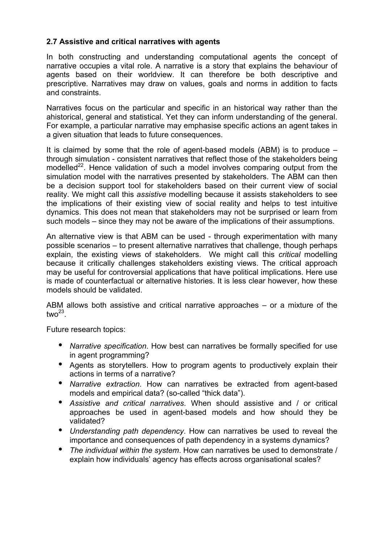## **2.7 Assistive and critical narratives with agents**

In both constructing and understanding computational agents the concept of narrative occupies a vital role. A narrative is a story that explains the behaviour of agents based on their worldview. It can therefore be both descriptive and prescriptive. Narratives may draw on values, goals and norms in addition to facts and constraints.

Narratives focus on the particular and specific in an historical way rather than the ahistorical, general and statistical. Yet they can inform understanding of the general. For example, a particular narrative may emphasise specific actions an agent takes in a given situation that leads to future consequences.

It is claimed by some that the role of agent-based models (ABM) is to produce – through simulation - consistent narratives that reflect those of the stakeholders being modelled<sup>22</sup>. Hence validation of such a model involves comparing output from the simulation model with the narratives presented by stakeholders. The ABM can then be a decision support tool for stakeholders based on their current view of social reality. We might call this *assistive* modelling because it assists stakeholders to see the implications of their existing view of social reality and helps to test intuitive dynamics. This does not mean that stakeholders may not be surprised or learn from such models – since they may not be aware of the implications of their assumptions.

An alternative view is that ABM can be used - through experimentation with many possible scenarios – to present alternative narratives that challenge, though perhaps explain, the existing views of stakeholders. We might call this *critical* modelling because it critically challenges stakeholders existing views. The critical approach may be useful for controversial applications that have political implications. Here use is made of counterfactual or alternative histories. It is less clear however, how these models should be validated.

ABM allows both assistive and critical narrative approaches – or a mixture of the two $^{23}$ 

- *Narrative specification*. How best can narratives be formally specified for use in agent programming?
- Agents as storytellers. How to program agents to productively explain their actions in terms of a narrative?
- *Narrative extraction*. How can narratives be extracted from agent-based models and empirical data? (so-called "thick data").
- *Assistive and critical narratives*. When should assistive and / or critical approaches be used in agent-based models and how should they be validated?
- *Understanding path dependency*. How can narratives be used to reveal the importance and consequences of path dependency in a systems dynamics?
- *The individual within the system*. How can narratives be used to demonstrate / explain how individuals' agency has effects across organisational scales?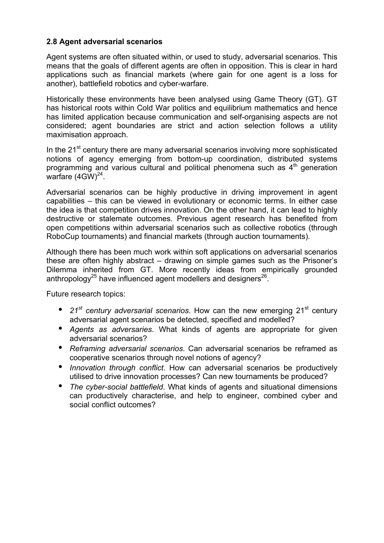## **2.8 Agent adversarial scenarios**

Agent systems are often situated within, or used to study, adversarial scenarios. This means that the goals of different agents are often in opposition. This is clear in hard applications such as financial markets (where gain for one agent is a loss for another), battlefield robotics and cyber-warfare.

Historically these environments have been analysed using Game Theory (GT). GT has historical roots within Cold War politics and equilibrium mathematics and hence has limited application because communication and self-organising aspects are not considered; agent boundaries are strict and action selection follows a utility maximisation approach.

In the 21<sup>st</sup> century there are many adversarial scenarios involving more sophisticated notions of agency emerging from bottom-up coordination, distributed systems programming and various cultural and political phenomena such as  $4<sup>th</sup>$  generation warfare  $(4GW)^{24}$ .

Adversarial scenarios can be highly productive in driving improvement in agent capabilities – this can be viewed in evolutionary or economic terms. In either case the idea is that competition drives innovation. On the other hand, it can lead to highly destructive or stalemate outcomes. Previous agent research has benefited from open competitions within adversarial scenarios such as collective robotics (through RoboCup tournaments) and financial markets (through auction tournaments).

Although there has been much work within soft applications on adversarial scenarios these are often highly abstract – drawing on simple games such as the Prisoner's Dilemma inherited from GT. More recently ideas from empirically grounded anthropology<sup>25</sup> have influenced agent modellers and designers<sup>26</sup>.

- 21<sup>st</sup> century adversarial scenarios. How can the new emerging 21<sup>st</sup> century adversarial agent scenarios be detected, specified and modelled?
- *Agents as adversaries*. What kinds of agents are appropriate for given adversarial scenarios?
- *Reframing adversarial scenarios*. Can adversarial scenarios be reframed as cooperative scenarios through novel notions of agency?
- *Innovation through conflict*. How can adversarial scenarios be productively utilised to drive innovation processes? Can new tournaments be produced?
- *The cyber-social battlefield*. What kinds of agents and situational dimensions can productively characterise, and help to engineer, combined cyber and social conflict outcomes?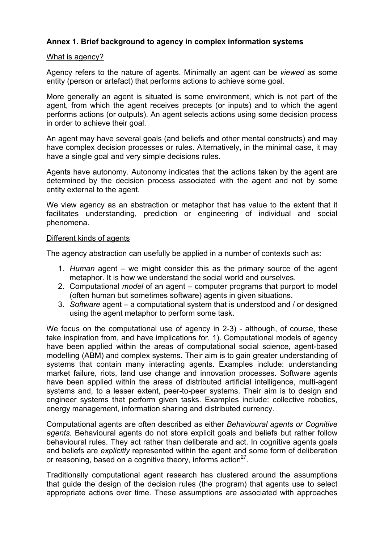### **Annex 1. Brief background to agency in complex information systems**

#### What is agency?

Agency refers to the nature of agents. Minimally an agent can be *viewed* as some entity (person or artefact) that performs actions to achieve some goal.

More generally an agent is situated is some environment, which is not part of the agent, from which the agent receives precepts (or inputs) and to which the agent performs actions (or outputs). An agent selects actions using some decision process in order to achieve their goal.

An agent may have several goals (and beliefs and other mental constructs) and may have complex decision processes or rules. Alternatively, in the minimal case, it may have a single goal and very simple decisions rules.

Agents have autonomy. Autonomy indicates that the actions taken by the agent are determined by the decision process associated with the agent and not by some entity external to the agent.

We view agency as an abstraction or metaphor that has value to the extent that it facilitates understanding, prediction or engineering of individual and social phenomena.

#### Different kinds of agents

The agency abstraction can usefully be applied in a number of contexts such as:

- 1. *Human* agent we might consider this as the primary source of the agent metaphor. It is how we understand the social world and ourselves.
- 2. Computational *model* of an agent computer programs that purport to model (often human but sometimes software) agents in given situations.
- 3. *Software* agent a computational system that is understood and / or designed using the agent metaphor to perform some task.

We focus on the computational use of agency in 2-3) - although, of course, these take inspiration from, and have implications for, 1). Computational models of agency have been applied within the areas of computational social science, agent-based modelling (ABM) and complex systems. Their aim is to gain greater understanding of systems that contain many interacting agents. Examples include: understanding market failure, riots, land use change and innovation processes. Software agents have been applied within the areas of distributed artificial intelligence, multi-agent systems and, to a lesser extent, peer-to-peer systems. Their aim is to design and engineer systems that perform given tasks. Examples include: collective robotics, energy management, information sharing and distributed currency.

Computational agents are often described as either *Behavioural agents or Cognitive agents.* Behavioural agents do not store explicit goals and beliefs but rather follow behavioural rules. They act rather than deliberate and act. In cognitive agents goals and beliefs are *explicitly* represented within the agent and some form of deliberation or reasoning, based on a cognitive theory, informs action $^{27}$ .

Traditionally computational agent research has clustered around the assumptions that guide the design of the decision rules (the program) that agents use to select appropriate actions over time. These assumptions are associated with approaches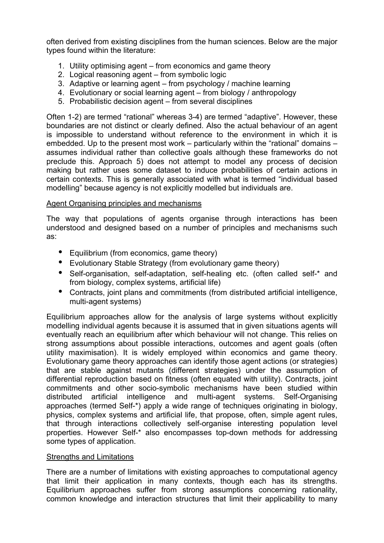often derived from existing disciplines from the human sciences. Below are the major types found within the literature:

- 1. Utility optimising agent from economics and game theory
- 2. Logical reasoning agent from symbolic logic
- 3. Adaptive or learning agent from psychology / machine learning
- 4. Evolutionary or social learning agent from biology / anthropology
- 5. Probabilistic decision agent from several disciplines

Often 1-2) are termed "rational" whereas 3-4) are termed "adaptive". However, these boundaries are not distinct or clearly defined. Also the actual behaviour of an agent is impossible to understand without reference to the environment in which it is embedded. Up to the present most work – particularly within the "rational" domains – assumes individual rather than collective goals although these frameworks do not preclude this. Approach 5) does not attempt to model any process of decision making but rather uses some dataset to induce probabilities of certain actions in certain contexts. This is generally associated with what is termed "individual based modelling" because agency is not explicitly modelled but individuals are.

### Agent Organising principles and mechanisms

The way that populations of agents organise through interactions has been understood and designed based on a number of principles and mechanisms such as:

- Equilibrium (from economics, game theory)
- Evolutionary Stable Strategy (from evolutionary game theory)
- Self-organisation, self-adaptation, self-healing etc. (often called self-\* and from biology, complex systems, artificial life)
- Contracts, joint plans and commitments (from distributed artificial intelligence, multi-agent systems)

Equilibrium approaches allow for the analysis of large systems without explicitly modelling individual agents because it is assumed that in given situations agents will eventually reach an equilibrium after which behaviour will not change. This relies on strong assumptions about possible interactions, outcomes and agent goals (often utility maximisation). It is widely employed within economics and game theory. Evolutionary game theory approaches can identify those agent actions (or strategies) that are stable against mutants (different strategies) under the assumption of differential reproduction based on fitness (often equated with utility). Contracts, joint commitments and other socio-symbolic mechanisms have been studied within distributed artificial intelligence and multi-agent systems. Self-Organising approaches (termed Self-\*) apply a wide range of techniques originating in biology, physics, complex systems and artificial life, that propose, often, simple agent rules, that through interactions collectively self-organise interesting population level properties. However Self-\* also encompasses top-down methods for addressing some types of application.

### Strengths and Limitations

There are a number of limitations with existing approaches to computational agency that limit their application in many contexts, though each has its strengths. Equilibrium approaches suffer from strong assumptions concerning rationality, common knowledge and interaction structures that limit their applicability to many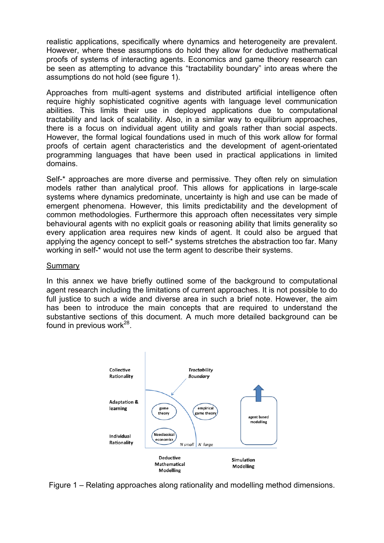realistic applications, specifically where dynamics and heterogeneity are prevalent. However, where these assumptions do hold they allow for deductive mathematical proofs of systems of interacting agents. Economics and game theory research can be seen as attempting to advance this "tractability boundary" into areas where the assumptions do not hold (see figure 1).

Approaches from multi-agent systems and distributed artificial intelligence often require highly sophisticated cognitive agents with language level communication abilities. This limits their use in deployed applications due to computational tractability and lack of scalability. Also, in a similar way to equilibrium approaches, there is a focus on individual agent utility and goals rather than social aspects. However, the formal logical foundations used in much of this work allow for formal proofs of certain agent characteristics and the development of agent-orientated programming languages that have been used in practical applications in limited domains.

Self-\* approaches are more diverse and permissive. They often rely on simulation models rather than analytical proof. This allows for applications in large-scale systems where dynamics predominate, uncertainty is high and use can be made of emergent phenomena. However, this limits predictability and the development of common methodologies. Furthermore this approach often necessitates very simple behavioural agents with no explicit goals or reasoning ability that limits generality so every application area requires new kinds of agent. It could also be argued that applying the agency concept to self-\* systems stretches the abstraction too far. Many working in self-\* would not use the term agent to describe their systems.

#### Summary

In this annex we have briefly outlined some of the background to computational agent research including the limitations of current approaches. It is not possible to do full justice to such a wide and diverse area in such a brief note. However, the aim has been to introduce the main concepts that are required to understand the substantive sections of this document. A much more detailed background can be found in previous work $^{28}$ .



Figure 1 – Relating approaches along rationality and modelling method dimensions.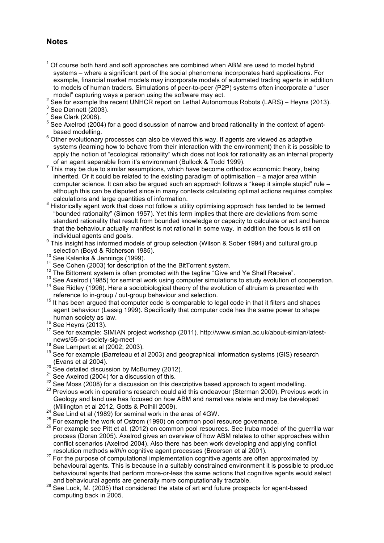#### **Notes**

- Of course both hard and soft approaches are combined when ABM are used to model hybrid systems – where a significant part of the social phenomena incorporates hard applications. For example, financial market models may incorporate models of automated trading agents in addition to models of human traders. Simulations of peer-to-peer (P2P) systems often incorporate a "user model" capturing ways a person using the software may act. model" capturing ways a person using the software may act.<br><sup>2</sup> See far avample the recent UNHCB report and other Autopens
- $^2$  See for example the recent UNHCR report on Lethal Autonomous Robots (LARS) Heyns (2013).<br><sup>3</sup> See Dennett (2002)

- based modelling.<br><sup>6</sup> Other evolutionary processes can also be viewed this way. If agents are viewed as adaptive systems (learning how to behave from their interaction with the environment) then it is possible to apply the notion of "ecological rationality" which does not look for rationality as an internal property of an agent separable from it's environment (Bullock & Todd 1999).
- This may be due to similar assumptions, which have become orthodox economic theory, being  $\frac{1}{2}$ inherited. Or it could be related to the existing paradigm of optimisation – a major area within computer science. It can also be argued such an approach follows a "keep it simple stupid" rule – although this can be disputed since in many contexts calculating optimal actions requires complex
- calculations and large quantities of information.<br><sup>8</sup> Historically agent work that does not follow a utility optimising approach has tended to be termed "bounded rationality" (Simon 1957). Yet this term implies that there are deviations from some standard rationality that result from bounded knowledge or capacity to calculate or act and hence that the behaviour actually manifest is not rational in some way. In addition the focus is still on
- individual agents and goals.<br><sup>9</sup> This insight has informed models of group selection (Wilson & Sober 1994) and cultural group selection (Boyd & Richerson 1985).
- 
- 
- 10 Secondiction (Boyd & Richerson 1995).<br>11 See Kalenka & Jennings (1999).<br><sup>12</sup> The Bittorrent system is often promoted with the tagline "Give and Ye Shall Receive".
- 
- <sup>13</sup> See Axelrod (1985) for seminal work using computer simulations to study evolution of cooperation.<br><sup>14</sup> See Ridley (1996). Here a sociobiological theory of the evolution of altruism is presented with<br>reference to in-g
- $15$  It has been arqued that computer code is comparable to legal code in that it filters and shapes agent behaviour (Lessig 1999). Specifically that computer code has the same power to shape human society as law.<br><sup>16</sup> See Heyns (2013).<br><sup>17</sup> See for example: SIMIAN project workshop (2011). http://www.simian.ac.uk/about-simian/latest-
- 
- news/55-or-society-sig-meet<br><sup>18</sup> See Lampert et al (2002; 2003).
- 
- $19$  See for example (Barreteau et al 2003) and geographical information systems (GIS) research
- 
- 
- 
- (Evans et al 2004).<br>
<sup>20</sup> See detailed discussion by McBurney (2012).<br>
<sup>21</sup> See Axelrod (2004) for a discussion of this.<br>
<sup>22</sup> See Moss (2008) for a discussion on this descriptive based approach to agent modelling.<br>
<sup>23</sup> Geology and land use has focused on how ABM and narratives relate and may be developed (Millington et al 2012, Gotts & Polhill 2009).
- 
- (Millington et al 2012, Gotts & Pollin 2009).<br><sup>24</sup> See Lind et al (1989) for seminal work in the area of 4GW.<br><sup>25</sup> For example the work of Ostrom (1990) on common pool resource governance.
- <sup>26</sup> For example see Pitt et al. (2012) on common pool resources. See Iruba model of the guerrilla war process (Doran 2005). Axelrod gives an overview of how ABM relates to other approaches within conflict scenarios (Axelrod 2004). Also there has been work developing and applying conflict
- resolution methods *within* cognitive agent processes (Broersen et al 2001). <sup>27</sup> For the purpose of computational implementation cognitive agents are often approximated by behavioural agents. This is because in a suitably constrained environment it is possible to produce behavioural agents that perform more-or-less the same actions that cognitive agents would select
- and behavioural agents are generally more computationally tractable.<br><sup>28</sup> See Luck, M. (2005) that considered the state of art and future prospects for agent-based computing back in 2005.

 $3$  See Dennett (2003).

<sup>4</sup> See Clark (2008).

 $5$  See Axelrod (2004) for a good discussion of narrow and broad rationality in the context of agent-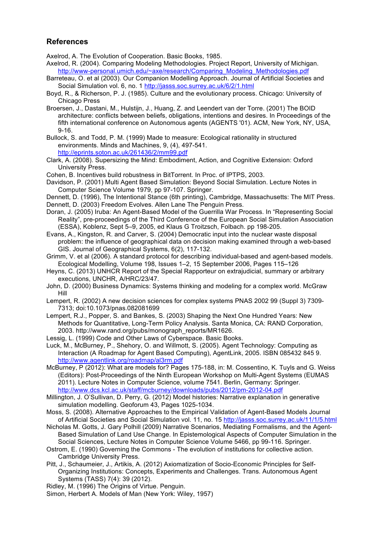#### **References**

Axelrod, A. The Evolution of Cooperation. Basic Books, 1985.

- Axelrod, R. (2004). Comparing Modeling Methodologies. Project Report, University of Michigan. http://www-personal.umich.edu/~axe/research/Comparing\_Modeling\_Methodologies.pdf
- Barreteau, O. et al (2003). Our Companion Modelling Approach. Journal of Artificial Societies and Social Simulation vol. 6, no. 1 http://jasss.soc.surrey.ac.uk/6/2/1.html
- Boyd, R., & Richerson, P. J. (1985). Culture and the evolutionary process. Chicago: University of Chicago Press
- Broersen, J., Dastani, M., Hulstijn, J., Huang, Z. and Leendert van der Torre. (2001) The BOID architecture: conflicts between beliefs, obligations, intentions and desires. In Proceedings of the fifth international conference on Autonomous agents (AGENTS '01). ACM, New York, NY, USA, 9-16.
- Bullock, S. and Todd, P. M. (1999) Made to measure: Ecological rationality in structured environments. Minds and Machines, 9, (4), 497-541. http://eprints.soton.ac.uk/261436/2/mm99.pdf
- Clark, A. (2008). Supersizing the Mind: Embodiment, Action, and Cognitive Extension: Oxford University Press.
- Cohen, B. Incentives build robustness in BitTorrent. In Proc. of IPTPS, 2003.
- Davidson, P. (2001) Multi Agent Based Simulation: Beyond Social Simulation. Lecture Notes in Computer Science Volume 1979, pp 97-107. Springer.
- Dennett, D. (1996), The Intentional Stance (6th printing), Cambridge, Massachusetts: The MIT Press.
- Dennett, D. (2003) Freedom Evolves. Allen Lane The Penguin Press.
- Doran, J. (2005) Iruba: An Agent-Based Model of the Guerrilla War Process. In "Representing Social Reality", pre-proceedings of the Third Conference of the European Social Simulation Association (ESSA), Koblenz, Sept 5–9, 2005, ed Klaus G Troitzsch, Folbach. pp 198-205.
- Evans, A., Kingston, R. and Carver, S. (2004) Democratic input into the nuclear waste disposal problem: the influence of geographical data on decision making examined through a web-based GIS. Journal of Geographical Systems, 6(2), 117-132.
- Grimm, V. et al (2006). A standard protocol for describing individual-based and agent-based models. Ecological Modelling, Volume 198, Issues 1–2, 15 September 2006, Pages 115–126
- Heyns, C. (2013) UNHCR Report of the Special Rapporteur on extrajudicial, summary or arbitrary executions, UNCHR, A/HRC/23/47.
- John, D. (2000) Business Dynamics: Systems thinking and modeling for a complex world. McGraw Hill
- Lempert, R. (2002) A new decision sciences for complex systems PNAS 2002 99 (Suppl 3) 7309- 7313; doi:10.1073/pnas.082081699
- Lempert, R.J., Popper, S. and Bankes, S. (2003) Shaping the Next One Hundred Years: New Methods for Quantitative, Long-Term Policy Analysis. Santa Monica, CA: RAND Corporation, 2003. http://www.rand.org/pubs/monograph\_reports/MR1626.
- Lessig, L. (1999) Code and Other Laws of Cyberspace. Basic Books.
- Luck, M., McBurney, P., Shehory, O. and Willmott, S. (2005). Agent Technology: Computing as Interaction (A Roadmap for Agent Based Computing), AgentLink, 2005. ISBN 085432 845 9. http://www.agentlink.org/roadmap/al3rm.pdf
- McBurney, P (2012): What are models for? Pages 175-188, in: M. Cossentino, K. Tuyls and G. Weiss (Editors): Post-Proceedings of the Ninth European Workshop on Multi-Agent Systems (EUMAS 2011). Lecture Notes in Computer Science, volume 7541. Berlin, Germany: Springer. http://www.dcs.kcl.ac.uk/staff/mcburney/downloads/pubs/2012/pm-2012-04.pdf
- Millington, J. O'Sullivan, D. Perry, G. (2012) Model histories: Narrative explanation in generative simulation modelling. Geoforum 43, Pages 1025-1034.
- Moss, S. (2008). Alternative Approaches to the Empirical Validation of Agent-Based Models Journal of Artificial Societies and Social Simulation vol. 11, no. 15 http://jasss.soc.surrey.ac.uk/11/1/5.html
- Nicholas M. Gotts, J. Gary Polhill (2009) Narrative Scenarios, Mediating Formalisms, and the Agent-Based Simulation of Land Use Change. In Epistemological Aspects of Computer Simulation in the Social Sciences, Lecture Notes in Computer Science Volume 5466, pp 99-116. Springer.
- Ostrom, E. (1990) Governing the Commons The evolution of institutions for collective action. Cambridge University Press.
- Pitt, J., Schaumeier, J., Artikis, A. (2012) Axiomatization of Socio-Economic Principles for Self-Organizing Institutions: Concepts, Experiments and Challenges. Trans. Autonomous Agent Systems (TASS) 7(4): 39 (2012).
- Ridley, M. (1996) The Origins of Virtue. Penguin.
- Simon, Herbert A. Models of Man (New York: Wiley, 1957)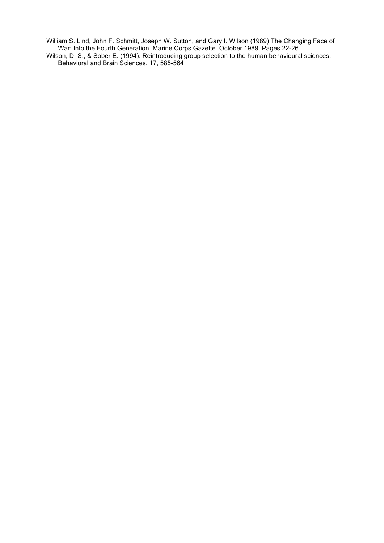William S. Lind, John F. Schmitt, Joseph W. Sutton, and Gary I. Wilson (1989) The Changing Face of War: Into the Fourth Generation. Marine Corps Gazette. October 1989, Pages 22-26 Wilson, D. S., & Sober E. (1994). Reintroducing group selection to the human behavioural sciences. Behavioral and Brain Sciences, 17, 585-564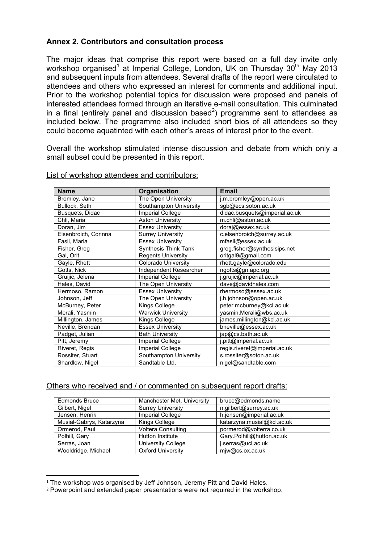### **Annex 2. Contributors and consultation process**

The major ideas that comprise this report were based on a full day invite only workshop organised<sup>1</sup> at Imperial College, London, UK on Thursday 30<sup>th</sup> May 2013 and subsequent inputs from attendees. Several drafts of the report were circulated to attendees and others who expressed an interest for comments and additional input. Prior to the workshop potential topics for discussion were proposed and panels of interested attendees formed through an iterative e-mail consultation. This culminated in a final (entirely panel and discussion based<sup>2</sup>) programme sent to attendees as included below. The programme also included short bios of all attendees so they could become aquatinted with each other's areas of interest prior to the event.

Overall the workshop stimulated intense discussion and debate from which only a small subset could be presented in this report.

| <b>Name</b>          | Organisation                | <b>Email</b>                  |
|----------------------|-----------------------------|-------------------------------|
| Bromley, Jane        | The Open University         | .m.bromley@open.ac.uk         |
| Bullock, Seth        | Southampton University      | sgb@ecs.soton.ac.uk           |
| Busquets, Didac      | <b>Imperial College</b>     | didac.busquets@imperial.ac.uk |
| Chli, Maria          | <b>Aston University</b>     | m.chli@aston.ac.uk            |
| Doran, Jim           | <b>Essex University</b>     | doraj@essex.ac.uk             |
| Elsenbroich, Corinna | <b>Surrey University</b>    | c.elsenbroich@surrey.ac.uk    |
| Fasli, Maria         | <b>Essex University</b>     | mfasli@essex.ac.uk            |
| Fisher, Greg         | <b>Synthesis Think Tank</b> | greg.fisher@synthesisips.net  |
| Gal, Orit            | <b>Regents University</b>   | oritgal9@gmail.com            |
| Gayle, Rhett         | <b>Colorado University</b>  | rhett.gayle@colorado.edu      |
| Gotts, Nick          | Independent Researcher      | ngotts@gn.apc.org             |
| Gruijic, Jelena      | <b>Imperial College</b>     | .grujic@imperial.ac.uk        |
| Hales, David         | The Open University         | dave@davidhales.com           |
| Hermoso, Ramon       | <b>Essex University</b>     | rhermoso@essex.ac.uk          |
| Johnson, Jeff        | The Open University         | j.h.johnson@open.ac.uk        |
| McBurney, Peter      | Kings College               | peter.mcburney@kcl.ac.uk      |
| Merali, Yasmin       | <b>Warwick University</b>   | yasmin.Merali@wbs.ac.uk       |
| Millington, James    | Kings College               | james.millington@kcl.ac.uk    |
| Neville, Brendan     | <b>Essex University</b>     | bneville@essex.ac.uk          |
| Padget, Julian       | <b>Bath University</b>      | jap@cs.bath.ac.uk             |
| Pitt, Jeremy         | <b>Imperial College</b>     | .pitt@imperial.ac.uk          |
| Riveret, Regis       | <b>Imperial College</b>     | regis.riveret@imperial.ac.uk  |
| Rossiter, Stuart     | Southampton University      | s.rossiter@soton.ac.uk        |
| Shardlow, Nigel      | Sandtable Ltd.              | nigel@sandtable.com           |

#### List of workshop attendees and contributors:

#### Others who received and / or commented on subsequent report drafts:

| <b>Edmonds Bruce</b>     | Manchester Met. University | bruce@edmonds.name         |
|--------------------------|----------------------------|----------------------------|
| Gilbert, Nigel           | <b>Surrey University</b>   | n.gilbert@surrey.ac.uk     |
| Jensen, Henrik           | <b>Imperial College</b>    | h.jensen@imperial.ac.uk    |
| Musial-Gabrys, Katarzyna | Kings College              | katarzyna.musial@kcl.ac.uk |
| Ormerod, Paul            | Voltera Consulting         | pormerod@volterra.co.uk    |
| Polhill, Gary            | <b>Hutton Institute</b>    | Gary.Polhill@hutton.ac.uk  |
| Serras, Joan             | University College         | j.serras@ucl.ac.uk         |
| Wooldridge, Michael      | <b>Oxford University</b>   | miw@cs.ox.ac.uk            |

<sup>&</sup>lt;sup>1</sup> The workshop was organised by Jeff Johnson, Jeremy Pitt and David Hales.

!!!!!!!!!!!!!!!!!!!!!!!!!!!!!!!!!!!!!!!!!!!!!!!!!!!!!!!

<sup>2</sup> Powerpoint and extended paper presentations were not required in the workshop.